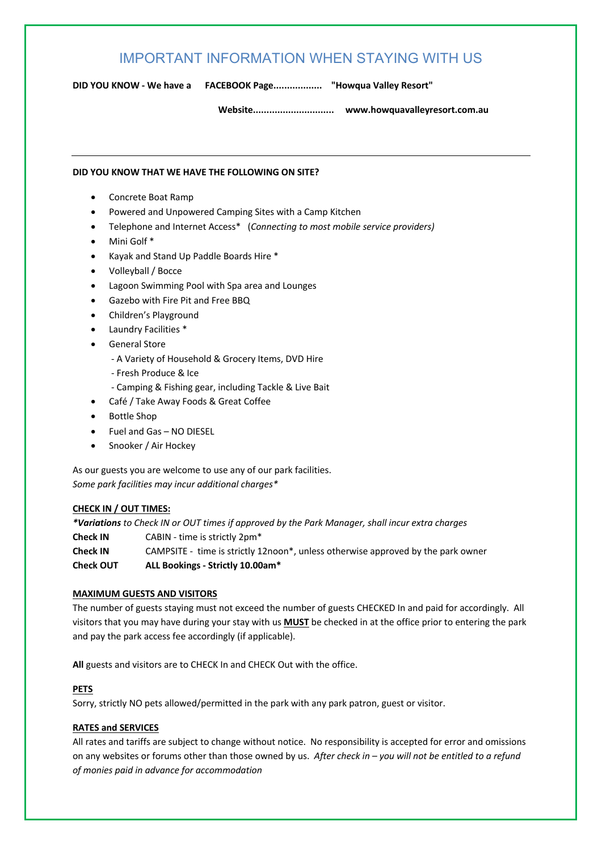# IMPORTANT INFORMATION WHEN STAYING WITH US

**DID YOU KNOW - We have a FACEBOOK Page.................. "Howqua Valley Resort"**

**Website.............................. www.howquavalleyresort.com.au**

# **DID YOU KNOW THAT WE HAVE THE FOLLOWING ON SITE?**

- Concrete Boat Ramp
- Powered and Unpowered Camping Sites with a Camp Kitchen
- Telephone and Internet Access\* (*Connecting to most mobile service providers)*
- Mini Golf \*
- Kayak and Stand Up Paddle Boards Hire \*
- Volleyball / Bocce
- Lagoon Swimming Pool with Spa area and Lounges
- Gazebo with Fire Pit and Free BBQ
- Children's Playground
- Laundry Facilities \*
- General Store
	- A Variety of Household & Grocery Items, DVD Hire
	- Fresh Produce & Ice
	- Camping & Fishing gear, including Tackle & Live Bait
- Café / Take Away Foods & Great Coffee
- Bottle Shop
- Fuel and Gas NO DIESEL
- Snooker / Air Hockey

As our guests you are welcome to use any of our park facilities. *Some park facilities may incur additional charges\**

# **CHECK IN / OUT TIMES:**

*\*Variations to Check IN or OUT times if approved by the Park Manager, shall incur extra charges*  **Check IN** CABIN - time is strictly 2pm\* **Check IN** CAMPSITE - time is strictly 12noon\*, unless otherwise approved by the park owner **Check OUT ALL Bookings - Strictly 10.00am\*** 

# **MAXIMUM GUESTS AND VISITORS**

The number of guests staying must not exceed the number of guests CHECKED In and paid for accordingly. All visitors that you may have during your stay with us **MUST** be checked in at the office prior to entering the park and pay the park access fee accordingly (if applicable).

**All** guests and visitors are to CHECK In and CHECK Out with the office.

# **PETS**

Sorry, strictly NO pets allowed/permitted in the park with any park patron, guest or visitor.

# **RATES and SERVICES**

All rates and tariffs are subject to change without notice. No responsibility is accepted for error and omissions on any websites or forums other than those owned by us. *After check in – you will not be entitled to a refund of monies paid in advance for accommodation*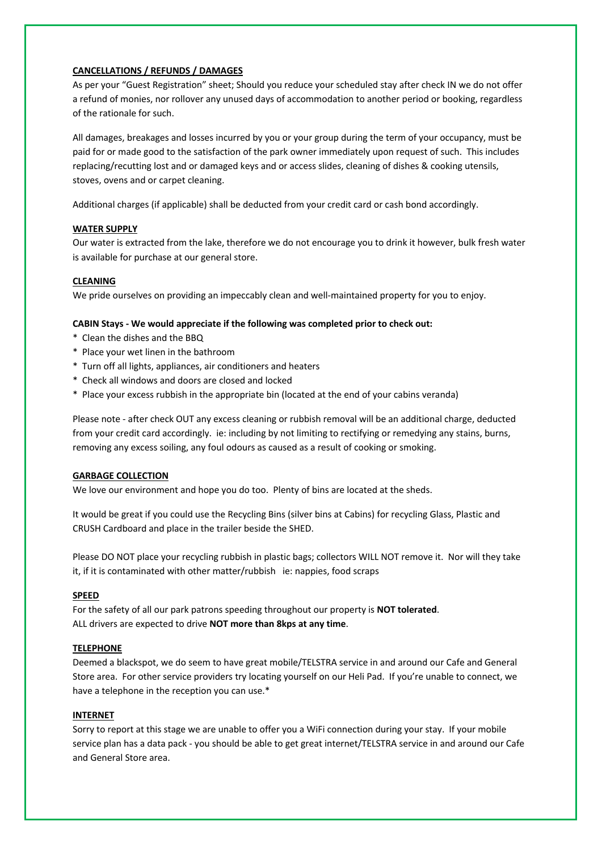# **CANCELLATIONS / REFUNDS / DAMAGES**

As per your "Guest Registration" sheet; Should you reduce your scheduled stay after check IN we do not offer a refund of monies, nor rollover any unused days of accommodation to another period or booking, regardless of the rationale for such.

All damages, breakages and losses incurred by you or your group during the term of your occupancy, must be paid for or made good to the satisfaction of the park owner immediately upon request of such. This includes replacing/recutting lost and or damaged keys and or access slides, cleaning of dishes & cooking utensils, stoves, ovens and or carpet cleaning.

Additional charges (if applicable) shall be deducted from your credit card or cash bond accordingly.

### **WATER SUPPLY**

Our water is extracted from the lake, therefore we do not encourage you to drink it however, bulk fresh water is available for purchase at our general store.

# **CLEANING**

We pride ourselves on providing an impeccably clean and well-maintained property for you to enjoy.

#### **CABIN Stays - We would appreciate if the following was completed prior to check out:**

- \* Clean the dishes and the BBQ
- \* Place your wet linen in the bathroom
- \* Turn off all lights, appliances, air conditioners and heaters
- \* Check all windows and doors are closed and locked
- \* Place your excess rubbish in the appropriate bin (located at the end of your cabins veranda)

Please note - after check OUT any excess cleaning or rubbish removal will be an additional charge, deducted from your credit card accordingly. ie: including by not limiting to rectifying or remedying any stains, burns, removing any excess soiling, any foul odours as caused as a result of cooking or smoking.

#### **GARBAGE COLLECTION**

We love our environment and hope you do too. Plenty of bins are located at the sheds.

It would be great if you could use the Recycling Bins (silver bins at Cabins) for recycling Glass, Plastic and CRUSH Cardboard and place in the trailer beside the SHED.

Please DO NOT place your recycling rubbish in plastic bags; collectors WILL NOT remove it. Nor will they take it, if it is contaminated with other matter/rubbish ie: nappies, food scraps

### **SPEED**

For the safety of all our park patrons speeding throughout our property is **NOT tolerated**. ALL drivers are expected to drive **NOT more than 8kps at any time**.

#### **TELEPHONE**

Deemed a blackspot, we do seem to have great mobile/TELSTRA service in and around our Cafe and General Store area. For other service providers try locating yourself on our Heli Pad. If you're unable to connect, we have a telephone in the reception you can use.\*

# **INTERNET**

Sorry to report at this stage we are unable to offer you a WiFi connection during your stay. If your mobile service plan has a data pack - you should be able to get great internet/TELSTRA service in and around our Cafe and General Store area.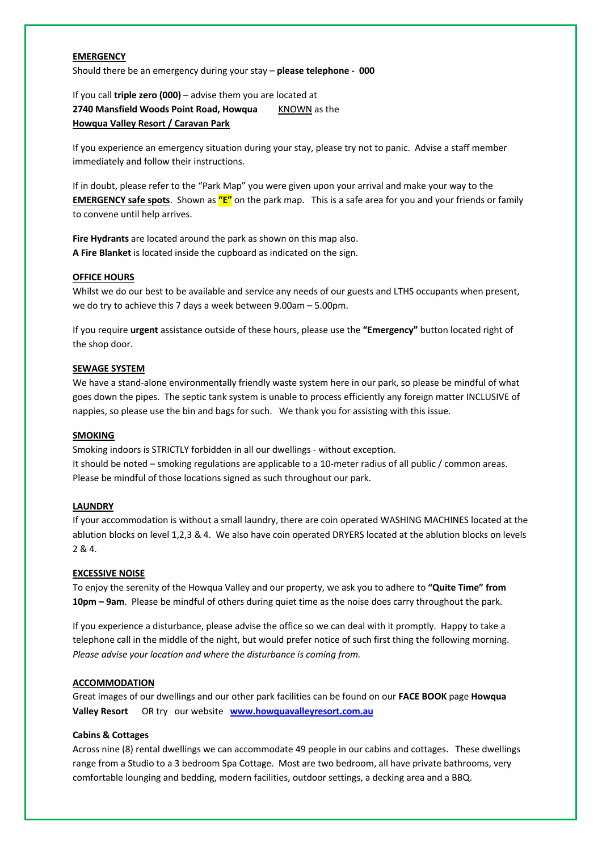# **EMERGENCY**

Should there be an emergency during your stay – **please telephone - 000**

If you call **triple zero (000)** – advise them you are located at **2740 Mansfield Woods Point Road, Howqua** KNOWN as the **Howqua Valley Resort / Caravan Park**

If you experience an emergency situation during your stay, please try not to panic. Advise a staff member immediately and follow their instructions.

If in doubt, please refer to the "Park Map" you were given upon your arrival and make your way to the **EMERGENCY safe spots**. Shown as **"E"** on the park map. This is a safe area for you and your friends or family to convene until help arrives.

**Fire Hydrants** are located around the park as shown on this map also. **A Fire Blanket** is located inside the cupboard as indicated on the sign.

### **OFFICE HOURS**

Whilst we do our best to be available and service any needs of our guests and LTHS occupants when present, we do try to achieve this 7 days a week between 9.00am – 5.00pm.

If you require **urgent** assistance outside of these hours, please use the **"Emergency"** button located right of the shop door.

### **SEWAGE SYSTEM**

We have a stand-alone environmentally friendly waste system here in our park, so please be mindful of what goes down the pipes. The septic tank system is unable to process efficiently any foreign matter INCLUSIVE of nappies, so please use the bin and bags for such. We thank you for assisting with this issue.

### **SMOKING**

Smoking indoors is STRICTLY forbidden in all our dwellings - without exception. It should be noted – smoking regulations are applicable to a 10-meter radius of all public / common areas. Please be mindful of those locations signed as such throughout our park.

# **LAUNDRY**

If your accommodation is without a small laundry, there are coin operated WASHING MACHINES located at the ablution blocks on level 1,2,3 & 4. We also have coin operated DRYERS located at the ablution blocks on levels 2 & 4.

# **EXCESSIVE NOISE**

To enjoy the serenity of the Howqua Valley and our property, we ask you to adhere to **"Quite Time" from 10pm – 9am**. Please be mindful of others during quiet time as the noise does carry throughout the park.

If you experience a disturbance, please advise the office so we can deal with it promptly. Happy to take a telephone call in the middle of the night, but would prefer notice of such first thing the following morning. *Please advise your location and where the disturbance is coming from.* 

#### **ACCOMMODATION**

Great images of our dwellings and our other park facilities can be found on our **FACE BOOK** page **Howqua Valley Resort** OR try our website **www.howquavalleyresort.com.au**

# **Cabins & Cottages**

Across nine (8) rental dwellings we can accommodate 49 people in our cabins and cottages. These dwellings range from a Studio to a 3 bedroom Spa Cottage. Most are two bedroom, all have private bathrooms, very comfortable lounging and bedding, modern facilities, outdoor settings, a decking area and a BBQ.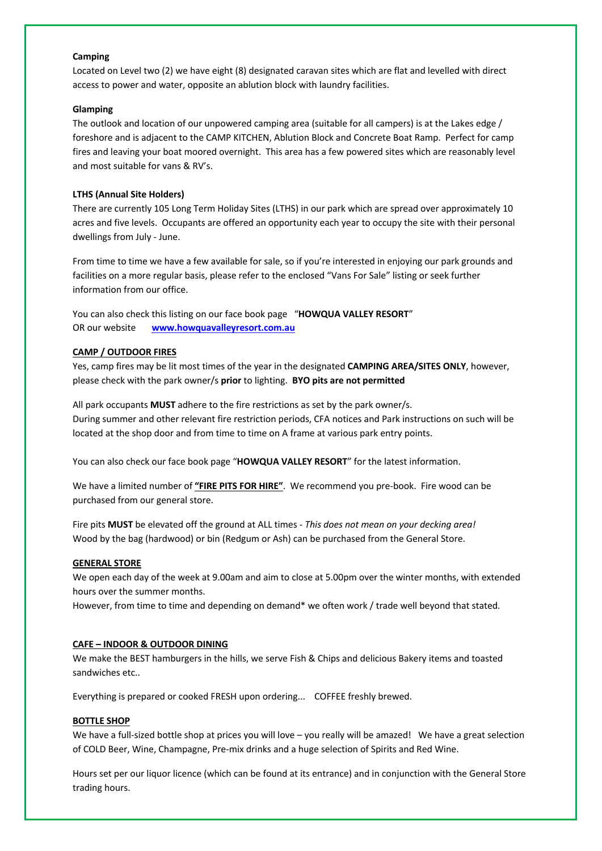### **Camping**

Located on Level two (2) we have eight (8) designated caravan sites which are flat and levelled with direct access to power and water, opposite an ablution block with laundry facilities.

#### **Glamping**

The outlook and location of our unpowered camping area (suitable for all campers) is at the Lakes edge / foreshore and is adjacent to the CAMP KITCHEN, Ablution Block and Concrete Boat Ramp. Perfect for camp fires and leaving your boat moored overnight. This area has a few powered sites which are reasonably level and most suitable for vans & RV's.

# **LTHS (Annual Site Holders)**

There are currently 105 Long Term Holiday Sites (LTHS) in our park which are spread over approximately 10 acres and five levels. Occupants are offered an opportunity each year to occupy the site with their personal dwellings from July - June.

From time to time we have a few available for sale, so if you're interested in enjoying our park grounds and facilities on a more regular basis, please refer to the enclosed "Vans For Sale" listing or seek further information from our office.

You can also check this listing on our face book page "**HOWQUA VALLEY RESORT**" OR our website **www.howquavalleyresort.com.au**

# **CAMP / OUTDOOR FIRES**

Yes, camp fires may be lit most times of the year in the designated **CAMPING AREA/SITES ONLY**, however, please check with the park owner/s **prior** to lighting. **BYO pits are not permitted**

All park occupants **MUST** adhere to the fire restrictions as set by the park owner/s. During summer and other relevant fire restriction periods, CFA notices and Park instructions on such will be located at the shop door and from time to time on A frame at various park entry points.

You can also check our face book page "**HOWQUA VALLEY RESORT**" for the latest information.

We have a limited number of **"FIRE PITS FOR HIRE"**. We recommend you pre-book. Fire wood can be purchased from our general store.

Fire pits **MUST** be elevated off the ground at ALL times - *This does not mean on your decking area!* Wood by the bag (hardwood) or bin (Redgum or Ash) can be purchased from the General Store.

# **GENERAL STORE**

We open each day of the week at 9.00am and aim to close at 5.00pm over the winter months, with extended hours over the summer months.

However, from time to time and depending on demand\* we often work / trade well beyond that stated.

# **CAFE – INDOOR & OUTDOOR DINING**

We make the BEST hamburgers in the hills, we serve Fish & Chips and delicious Bakery items and toasted sandwiches etc..

Everything is prepared or cooked FRESH upon ordering... COFFEE freshly brewed.

### **BOTTLE SHOP**

We have a full-sized bottle shop at prices you will love – you really will be amazed! We have a great selection of COLD Beer, Wine, Champagne, Pre-mix drinks and a huge selection of Spirits and Red Wine.

Hours set per our liquor licence (which can be found at its entrance) and in conjunction with the General Store trading hours.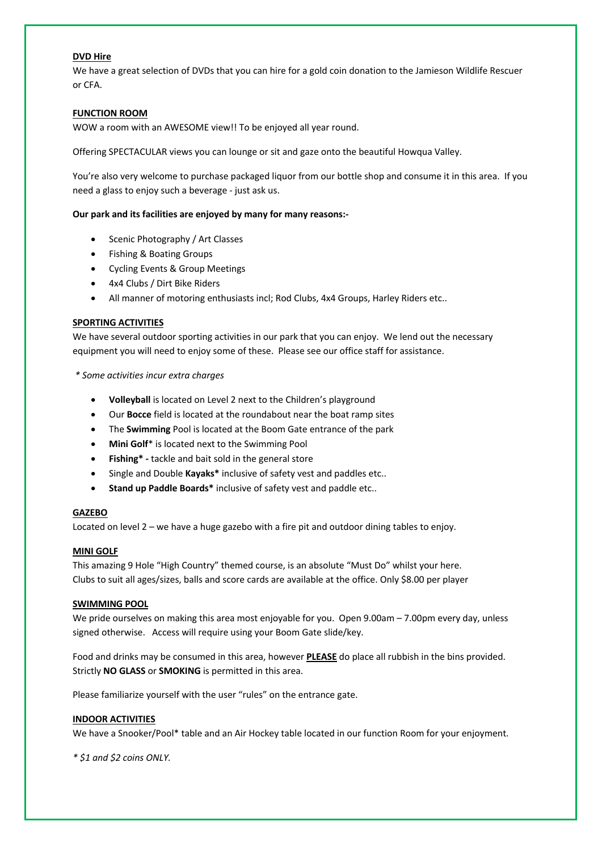# **DVD Hire**

We have a great selection of DVDs that you can hire for a gold coin donation to the Jamieson Wildlife Rescuer or CFA.

# **FUNCTION ROOM**

WOW a room with an AWESOME view!! To be enjoyed all year round.

Offering SPECTACULAR views you can lounge or sit and gaze onto the beautiful Howqua Valley.

You're also very welcome to purchase packaged liquor from our bottle shop and consume it in this area. If you need a glass to enjoy such a beverage - just ask us.

### **Our park and its facilities are enjoyed by many for many reasons:-**

- Scenic Photography / Art Classes
- Fishing & Boating Groups
- Cycling Events & Group Meetings
- 4x4 Clubs / Dirt Bike Riders
- All manner of motoring enthusiasts incl; Rod Clubs, 4x4 Groups, Harley Riders etc..

### **SPORTING ACTIVITIES**

We have several outdoor sporting activities in our park that you can enjoy. We lend out the necessary equipment you will need to enjoy some of these. Please see our office staff for assistance.

*\* Some activities incur extra charges*

- **Volleyball** is located on Level 2 next to the Children's playground
- Our **Bocce** field is located at the roundabout near the boat ramp sites
- The **Swimming** Pool is located at the Boom Gate entrance of the park
- **Mini Golf**\* is located next to the Swimming Pool
- **Fishing\* -** tackle and bait sold in the general store
- Single and Double **Kayaks\*** inclusive of safety vest and paddles etc..
- **Stand up Paddle Boards\*** inclusive of safety vest and paddle etc..

# **GAZEBO**

Located on level 2 – we have a huge gazebo with a fire pit and outdoor dining tables to enjoy.

### **MINI GOLF**

This amazing 9 Hole "High Country" themed course, is an absolute "Must Do" whilst your here. Clubs to suit all ages/sizes, balls and score cards are available at the office. Only \$8.00 per player

### **SWIMMING POOL**

We pride ourselves on making this area most enjoyable for you. Open 9.00am – 7.00pm every day, unless signed otherwise. Access will require using your Boom Gate slide/key.

Food and drinks may be consumed in this area, however **PLEASE** do place all rubbish in the bins provided. Strictly **NO GLASS** or **SMOKING** is permitted in this area.

Please familiarize yourself with the user "rules" on the entrance gate.

### **INDOOR ACTIVITIES**

We have a Snooker/Pool\* table and an Air Hockey table located in our function Room for your enjoyment.

*\* \$1 and \$2 coins ONLY.*